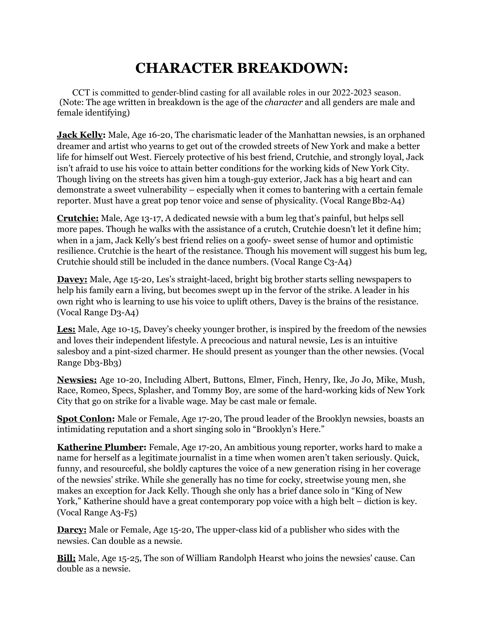## **CHARACTER BREAKDOWN:**

(Note: The age written in breakdown is the age of the *character* and all genders are male and female identifying) CCT is committed to gender-blind casting for all available roles in our 2022-2023 season.

**Jack Kelly:** Male, Age 16-20, The charismatic leader of the Manhattan newsies, is an orphaned dreamer and artist who yearns to get out of the crowded streets of New York and make a better life for himself out West. Fiercely protective of his best friend, Crutchie, and strongly loyal, Jack isn't afraid to use his voice to attain better conditions for the working kids of New York City. Though living on the streets has given him a tough-guy exterior, Jack has a big heart and can demonstrate a sweet vulnerability – especially when it comes to bantering with a certain female reporter. Must have a great pop tenor voice and sense of physicality. (Vocal Range Bb2-A4)

**Crutchie:** Male, Age 13-17, A dedicated newsie with a bum leg that's painful, but helps sell more papes. Though he walks with the assistance of a crutch, Crutchie doesn't let it define him; when in a jam, Jack Kelly's best friend relies on a goofy- sweet sense of humor and optimistic resilience. Crutchie is the heart of the resistance. Though his movement will suggest his bum leg, Crutchie should still be included in the dance numbers. (Vocal Range C3-A4)

**Davey:** Male, Age 15-20, Les's straight-laced, bright big brother starts selling newspapers to help his family earn a living, but becomes swept up in the fervor of the strike. A leader in his own right who is learning to use his voice to uplift others, Davey is the brains of the resistance. (Vocal Range D3-A4)

**Les:** Male, Age 10-15, Davey's cheeky younger brother, is inspired by the freedom of the newsies and loves their independent lifestyle. A precocious and natural newsie, Les is an intuitive salesboy and a pint-sized charmer. He should present as younger than the other newsies. (Vocal Range Db3-Bb3)

**Newsies:** Age 10-20, Including Albert, Buttons, Elmer, Finch, Henry, Ike, Jo Jo, Mike, Mush, Race, Romeo, Specs, Splasher, and Tommy Boy, are some of the hard-working kids of New York City that go on strike for a livable wage. May be cast male or female.

**Spot Conlon:** Male or Female, Age 17-20, The proud leader of the Brooklyn newsies, boasts an intimidating reputation and a short singing solo in "Brooklyn's Here."

**Katherine Plumber:** Female, Age 17-20, An ambitious young reporter, works hard to make a name for herself as a legitimate journalist in a time when women aren't taken seriously. Quick, funny, and resourceful, she boldly captures the voice of a new generation rising in her coverage of the newsies' strike. While she generally has no time for cocky, streetwise young men, she makes an exception for Jack Kelly. Though she only has a brief dance solo in "King of New York," Katherine should have a great contemporary pop voice with a high belt – diction is key. (Vocal Range A3-F5)

**Darcy:** Male or Female, Age 15-20, The upper-class kid of a publisher who sides with the newsies. Can double as a newsie.

**Bill:** Male, Age 15-25, The son of William Randolph Hearst who joins the newsies' cause. Can double as a newsie.